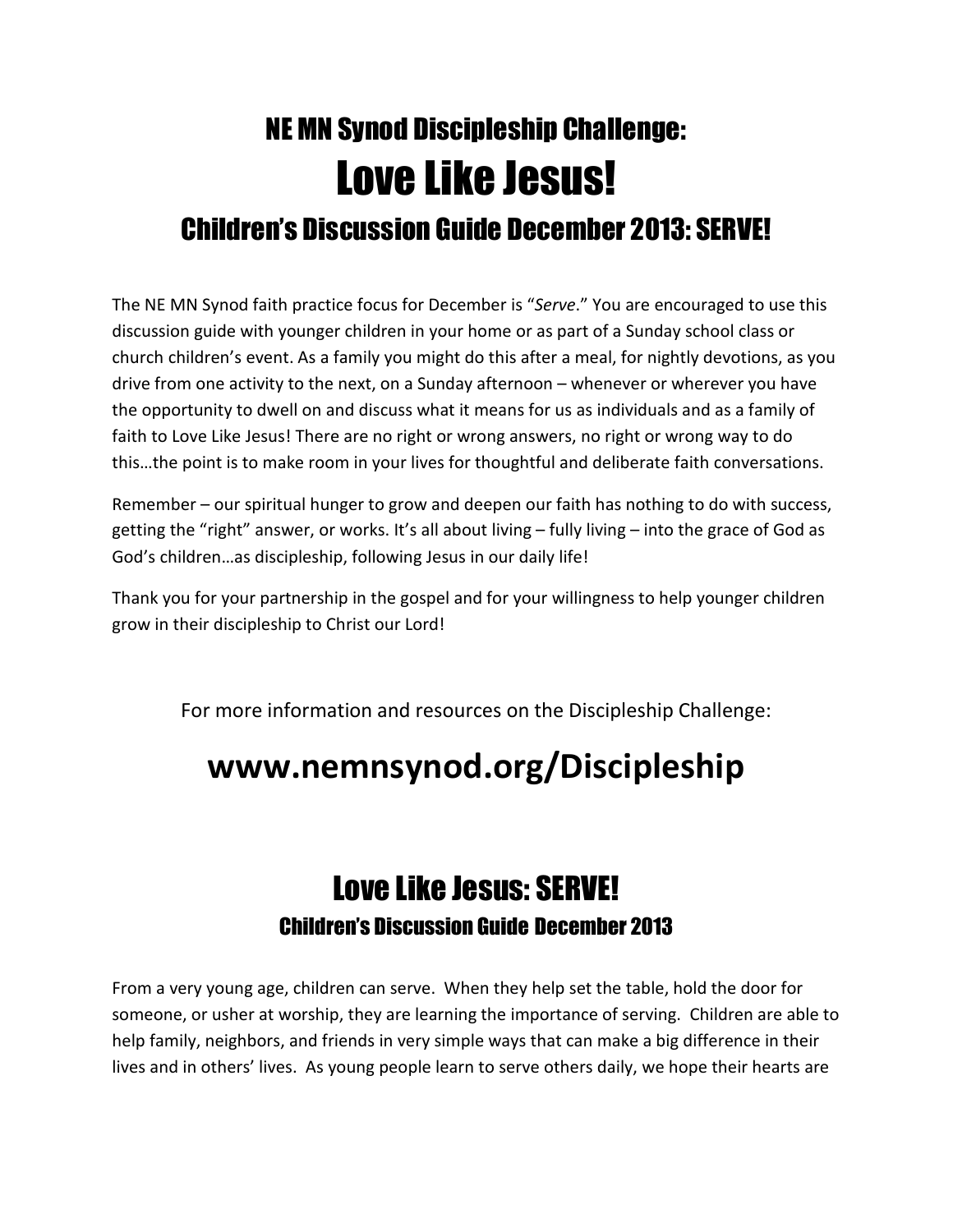## NE MN Synod Discipleship Challenge: Love Like Jesus! Children's Discussion Guide December 2013: SERVE!

The NE MN Synod faith practice focus for December is "Serve." You are encouraged to use this discussion guide with younger children in your home or as part of a Sunday school class or church children's event. As a family you might do this after a meal, for nightly devotions, as you drive from one activity to the next, on a Sunday afternoon – whenever or wherever you have the opportunity to dwell on and discuss what it means for us as individuals and as a family of faith to Love Like Jesus! There are no right or wrong answers, no right or wrong way to do this…the point is to make room in your lives for thoughtful and deliberate faith conversations.

Remember – our spiritual hunger to grow and deepen our faith has nothing to do with success, getting the "right" answer, or works. It's all about living – fully living – into the grace of God as God's children…as discipleship, following Jesus in our daily life!

Thank you for your partnership in the gospel and for your willingness to help younger children grow in their discipleship to Christ our Lord!

For more information and resources on the Discipleship Challenge:

## www.nemnsynod.org/Discipleship

## Love Like Jesus: SERVE! Children's Discussion Guide December 2013

From a very young age, children can serve. When they help set the table, hold the door for someone, or usher at worship, they are learning the importance of serving. Children are able to help family, neighbors, and friends in very simple ways that can make a big difference in their lives and in others' lives. As young people learn to serve others daily, we hope their hearts are